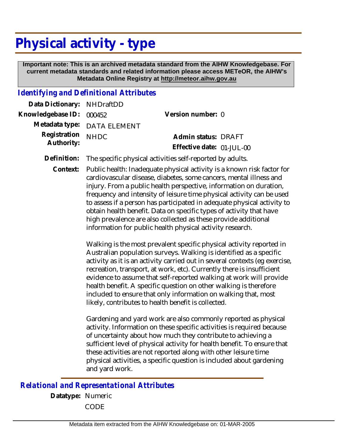## **Physical activity - type**

 **Important note: This is an archived metadata standard from the AIHW Knowledgebase. For current metadata standards and related information please access METeOR, the AIHW's Metadata Online Registry at http://meteor.aihw.gov.au**

## *Identifying and Definitional Attributes*

| Data Dictionary: NHDraftDD |                             |                           |  |
|----------------------------|-----------------------------|---------------------------|--|
| Knowledgebase ID: 000452   |                             | Version number: 0         |  |
|                            | Metadata type: DATA ELEMENT |                           |  |
| Registration NHDC          |                             | Admin status: DRAFT       |  |
| Authority:                 |                             | Effective date: 01-JUL-00 |  |
|                            |                             |                           |  |

**Definition:** The specific physical activities self-reported by adults.

Public health: Inadequate physical activity is a known risk factor for cardiovascular disease, diabetes, some cancers, mental illness and injury. From a public health perspective, information on duration, frequency and intensity of leisure time physical activity can be used to assess if a person has participated in adequate physical activity to obtain health benefit. Data on specific types of activity that have high prevalence are also collected as these provide additional information for public health physical activity research. **Context:**

> Walking is the most prevalent specific physical activity reported in Australian population surveys. Walking is identified as a specific activity as it is an activity carried out in several contexts (eg exercise, recreation, transport, at work, etc). Currently there is insufficient evidence to assume that self-reported walking at work will provide health benefit. A specific question on other walking is therefore included to ensure that only information on walking that, most likely, contributes to health benefit is collected.

Gardening and yard work are also commonly reported as physical activity. Information on these specific activities is required because of uncertainty about how much they contribute to achieving a sufficient level of physical activity for health benefit. To ensure that these activities are not reported along with other leisure time physical activities, a specific question is included about gardening and yard work.

*Relational and Representational Attributes*

**Datatype:** Numeric CODE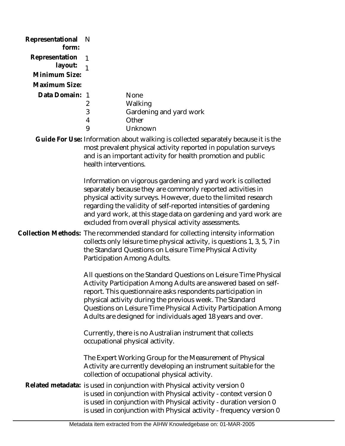| Representational<br>form: | N                     |                                                                                                                                                                                                                                                                                                                                                                                                   |
|---------------------------|-----------------------|---------------------------------------------------------------------------------------------------------------------------------------------------------------------------------------------------------------------------------------------------------------------------------------------------------------------------------------------------------------------------------------------------|
| Representation            | 1                     |                                                                                                                                                                                                                                                                                                                                                                                                   |
| layout:                   | $\overline{1}$        |                                                                                                                                                                                                                                                                                                                                                                                                   |
| Minimum Size:             |                       |                                                                                                                                                                                                                                                                                                                                                                                                   |
| Maximum Size:             |                       |                                                                                                                                                                                                                                                                                                                                                                                                   |
| Data Domain: 1            |                       | None                                                                                                                                                                                                                                                                                                                                                                                              |
|                           | $\overline{2}$        | Walking                                                                                                                                                                                                                                                                                                                                                                                           |
|                           | 3<br>4                | Gardening and yard work<br>Other                                                                                                                                                                                                                                                                                                                                                                  |
|                           | 9                     | Unknown                                                                                                                                                                                                                                                                                                                                                                                           |
|                           | health interventions. | Guide For Use: Information about walking is collected separately because it is the<br>most prevalent physical activity reported in population surveys<br>and is an important activity for health promotion and public                                                                                                                                                                             |
|                           |                       | Information on vigorous gardening and yard work is collected<br>separately because they are commonly reported activities in<br>physical activity surveys. However, due to the limited research<br>regarding the validity of self-reported intensities of gardening<br>and yard work, at this stage data on gardening and yard work are<br>excluded from overall physical activity assessments.    |
|                           |                       | Collection Methods: The recommended standard for collecting intensity information<br>collects only leisure time physical activity, is questions 1, 3, 5, 7 in<br>the Standard Questions on Leisure Time Physical Activity<br>Participation Among Adults.                                                                                                                                          |
|                           |                       | All questions on the Standard Questions on Leisure Time Physical<br>Activity Participation Among Adults are answered based on self-<br>report. This questionnaire asks respondents participation in<br>physical activity during the previous week. The Standard<br>Questions on Leisure Time Physical Activity Participation Among<br>Adults are designed for individuals aged 18 years and over. |
|                           |                       | Currently, there is no Australian instrument that collects<br>occupational physical activity.                                                                                                                                                                                                                                                                                                     |
|                           |                       | The Expert Working Group for the Measurement of Physical<br>Activity are currently developing an instrument suitable for the<br>collection of occupational physical activity.<br>Related metadata: is used in conjunction with Physical activity version 0<br>is used in conjunction with Physical activity - context version 0                                                                   |
|                           |                       | is used in conjunction with Physical activity - duration version 0<br>is used in conjunction with Physical activity - frequency version 0                                                                                                                                                                                                                                                         |